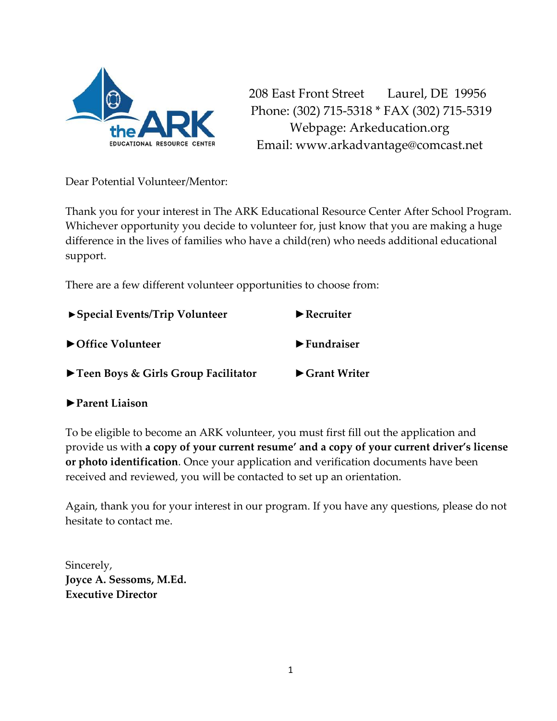

208 East Front Street Laurel, DE 19956 Phone: (302) 715-5318 \* FAX (302) 715-5319 Webpage: Arkeducation.org Email: www.arkadvantage@comcast.net

Dear Potential Volunteer/Mentor:

Thank you for your interest in The ARK Educational Resource Center After School Program. Whichever opportunity you decide to volunteer for, just know that you are making a huge difference in the lives of families who have a child(ren) who needs additional educational support.

There are a few different volunteer opportunities to choose from:

| $\triangleright$ Special Events/Trip Volunteer | $\blacktriangleright$ Recruiter    |  |
|------------------------------------------------|------------------------------------|--|
| ▶ Office Volunteer                             | $\blacktriangleright$ Fundraiser   |  |
| ▶ Teen Boys & Girls Group Facilitator          | $\blacktriangleright$ Grant Writer |  |

#### **►Parent Liaison**

To be eligible to become an ARK volunteer, you must first fill out the application and provide us with **a copy of your current resume' and a copy of your current driver's license or photo identification**. Once your application and verification documents have been received and reviewed, you will be contacted to set up an orientation.

Again, thank you for your interest in our program. If you have any questions, please do not hesitate to contact me.

Sincerely, **Joyce A. Sessoms, M.Ed. Executive Director**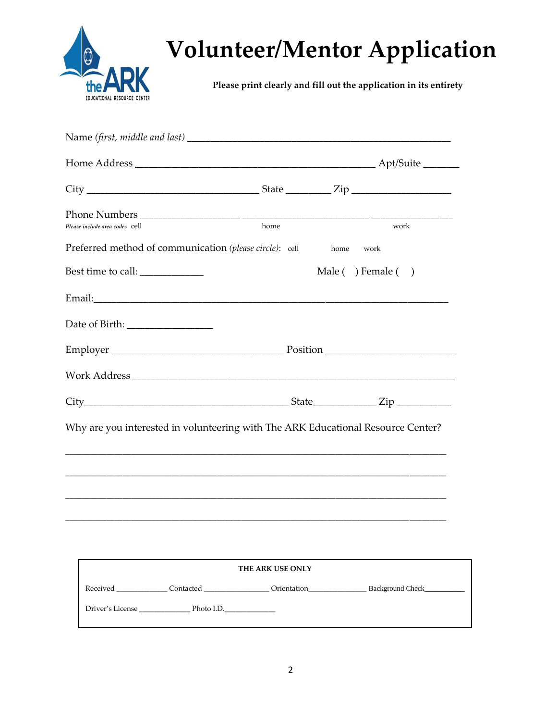

# **Volunteer/Mentor Application**

**Please print clearly and fill out the application in its entirety**

| Please include area codes cell                                                   | home |      | work                |
|----------------------------------------------------------------------------------|------|------|---------------------|
| Preferred method of communication (please circle): cell                          |      | home | work                |
| Best time to call: _____________                                                 |      |      | Male ( ) Female ( ) |
|                                                                                  |      |      |                     |
|                                                                                  |      |      |                     |
|                                                                                  |      |      |                     |
|                                                                                  |      |      |                     |
|                                                                                  |      |      |                     |
| Why are you interested in volunteering with The ARK Educational Resource Center? |      |      |                     |
|                                                                                  |      |      |                     |
|                                                                                  |      |      |                     |
|                                                                                  |      |      |                     |
|                                                                                  |      |      |                     |

| <b>THE ARK USE ONLY</b> |            |             |                  |
|-------------------------|------------|-------------|------------------|
| Received                | Contacted  | Orientation | Background Check |
| Driver's License        | Photo I.D. |             |                  |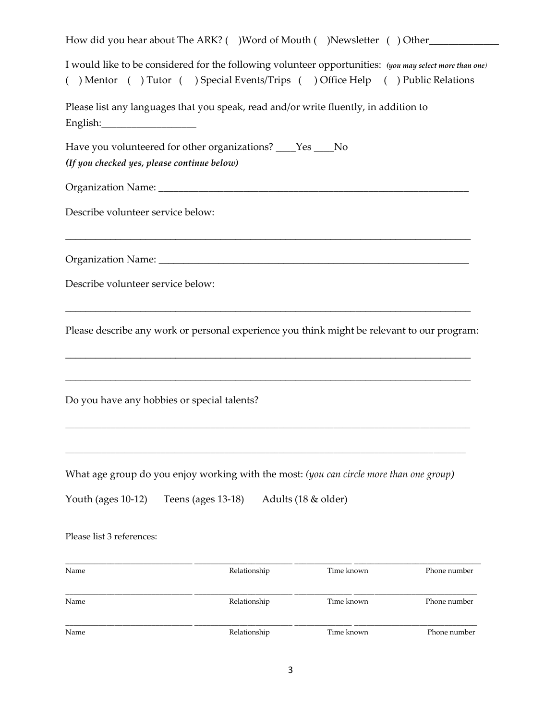| How did you hear about The ARK? ( )Word of Mouth ( )Newsletter ( ) Other                                                                                                                 |
|------------------------------------------------------------------------------------------------------------------------------------------------------------------------------------------|
| I would like to be considered for the following volunteer opportunities: (you may select more than one)<br>() Mentor () Tutor () Special Events/Trips () Office Help () Public Relations |
| Please list any languages that you speak, read and/or write fluently, in addition to                                                                                                     |
| Have you volunteered for other organizations? ____Yes ____No<br>(If you checked yes, please continue below)                                                                              |
|                                                                                                                                                                                          |
| Describe volunteer service below:                                                                                                                                                        |
|                                                                                                                                                                                          |
| Describe volunteer service below:                                                                                                                                                        |
| Please describe any work or personal experience you think might be relevant to our program:                                                                                              |
| Do you have any hobbies or special talents?                                                                                                                                              |
| What age group do you enjoy working with the most: (you can circle more than one group)                                                                                                  |
| Youth (ages 10-12)<br>Teens (ages 13-18)<br>Adults (18 & older)                                                                                                                          |
| Please list 3 references:                                                                                                                                                                |
| Name<br>Relationship<br>Time known<br>Phone number                                                                                                                                       |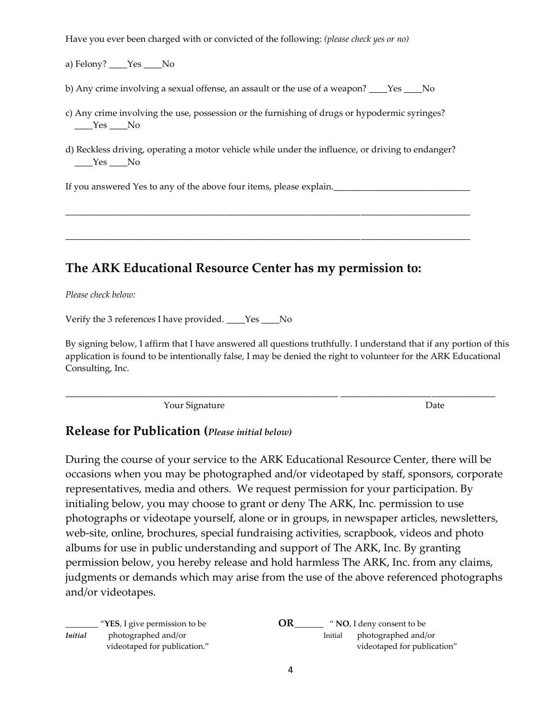Have you ever been charged with or convicted of the following: *(please check yes or no)*

a) Felony? *\_\_\_\_*Yes \_\_\_\_No

b) Any crime involving a sexual offense, an assault or the use of a weapon? *\_\_\_\_*Yes \_\_\_\_No

- c) Any crime involving the use, possession or the furnishing of drugs or hypodermic syringes? *\_\_\_\_*Yes \_\_\_\_No
- d) Reckless driving, operating a motor vehicle while under the influence, or driving to endanger?  *\_\_\_\_*Yes \_\_\_\_No

\_\_\_\_\_\_\_\_\_\_\_\_\_\_\_\_\_\_\_\_\_\_\_\_\_\_\_\_\_\_\_\_\_\_\_\_\_\_\_\_\_\_\_\_\_\_\_\_\_\_\_\_\_\_\_\_\_\_\_\_\_\_\_\_\_\_\_\_\_\_\_\_\_\_\_\_\_\_\_\_\_\_\_\_\_\_\_\_\_

\_\_\_\_\_\_\_\_\_\_\_\_\_\_\_\_\_\_\_\_\_\_\_\_\_\_\_\_\_\_\_\_\_\_\_\_\_\_\_\_\_\_\_\_\_\_\_\_\_\_\_\_\_\_\_\_\_\_\_\_\_\_\_\_\_\_\_\_\_\_\_\_\_\_\_\_\_\_\_\_\_\_\_\_\_\_\_\_\_

If you answered Yes to any of the above four items, please explain.

### **The ARK Educational Resource Center has my permission to:**

*Please check below:*

Verify the 3 references I have provided. *\_\_\_\_*Yes \_\_\_\_No

By signing below, I affirm that I have answered all questions truthfully. I understand that if any portion of this application is found to be intentionally false, I may be denied the right to volunteer for the ARK Educational Consulting, Inc.

\_\_\_\_\_\_\_\_\_\_\_\_\_\_\_\_\_\_\_\_\_\_\_\_\_\_\_\_\_\_\_\_\_\_\_\_\_\_\_\_\_\_\_\_\_\_\_\_\_\_\_\_\_\_\_\_\_\_\_\_ \_\_\_\_\_\_\_\_\_\_\_\_\_\_\_\_\_\_\_\_\_\_\_\_\_\_\_\_\_\_\_\_\_\_

Your Signature Date

#### **Release for Publication (***Please initial below)*

During the course of your service to the ARK Educational Resource Center, there will be occasions when you may be photographed and/or videotaped by staff, sponsors, corporate representatives, media and others. We request permission for your participation. By initialing below, you may choose to grant or deny The ARK, Inc. permission to use photographs or videotape yourself, alone or in groups, in newspaper articles, newsletters, web-site, online, brochures, special fundraising activities, scrapbook, videos and photo albums for use in public understanding and support of The ARK, Inc. By granting permission below, you hereby release and hold harmless The ARK, Inc. from any claims, judgments or demands which may arise from the use of the above referenced photographs and/or videotapes.

|                | $\frac{1}{2}$ " <b>YES</b> , I give permission to be | OR<br>" NO, I deny consent to be                              |
|----------------|------------------------------------------------------|---------------------------------------------------------------|
| <b>Initial</b> | photographed and/or<br>videotaped for publication."  | photographed and/or<br>Initial<br>videotaped for publication" |